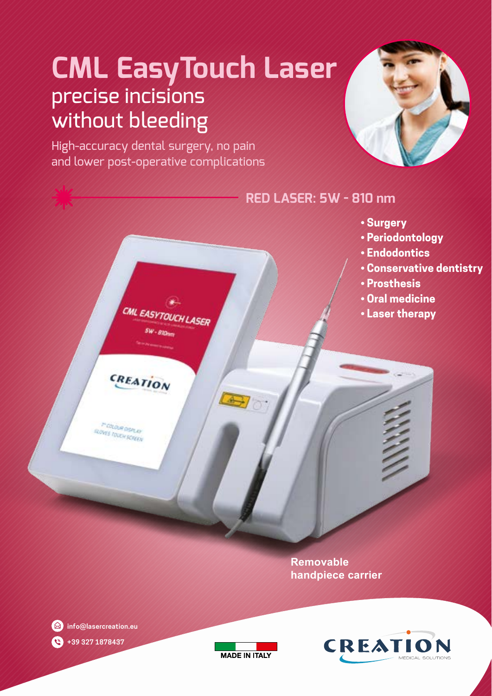# **CML EasyTouch Laser** precise incisions without bleeding

High-accuracy dental surgery, no pain and lower post-operative complications





**Removable handpiece carrier**



**info@lasercreation.eu +39 327 1878437**  O